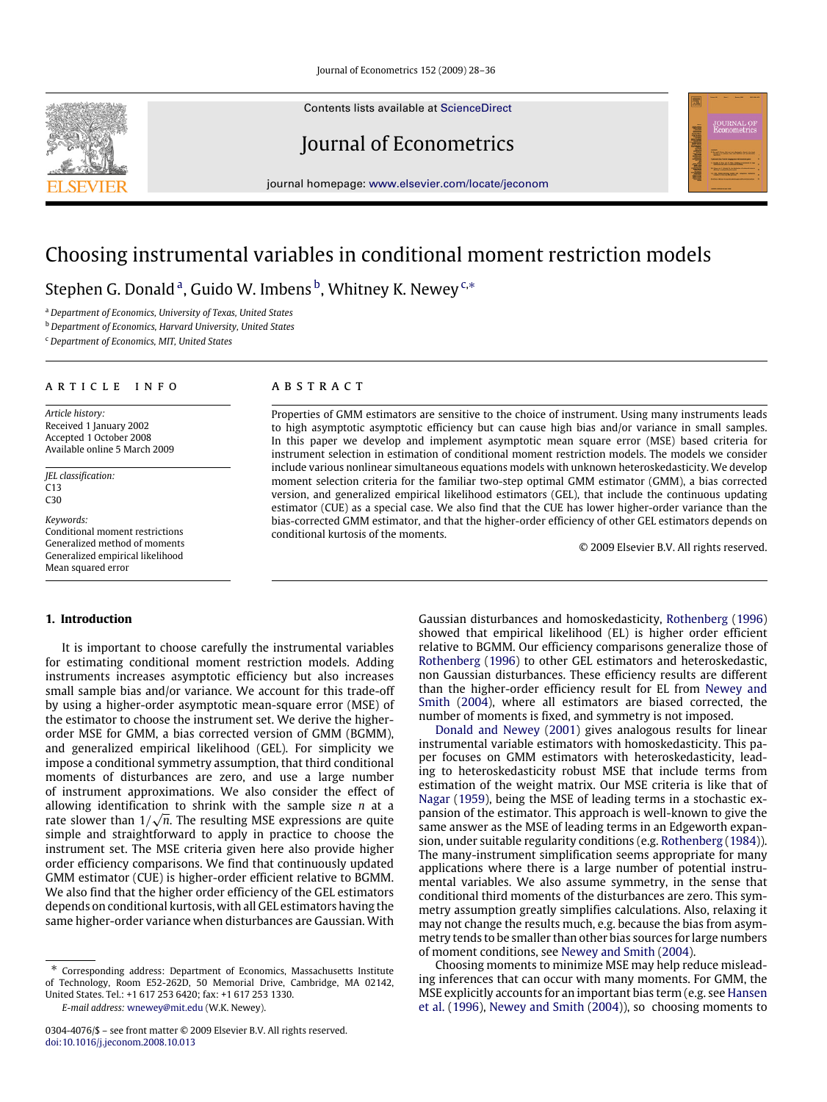Contents lists available at [ScienceDirect](http://www.elsevier.com/locate/jeconom)

Journal of Econometrics

journal homepage: [www.elsevier.com/locate/jeconom](http://www.elsevier.com/locate/jeconom)

# Choosing instrumental variables in conditional moment restriction models

Stephen G. Donald <sup>a</sup>, Guido W. Imbens <sup>b</sup>, Whitney K. Newey <sup>c,</sup>\*

<sup>a</sup> *Department of Economics, University of Texas, United States*

<sup>b</sup> *Department of Economics, Harvard University, United States*

<sup>c</sup> *Department of Economics, MIT, United States*

#### A R T I C L E I N F O

*Article history:* Received 1 January 2002 Accepted 1 October 2008 Available online 5 March 2009

*JEL classification:* C13  $C30$ 

*Keywords:* Conditional moment restrictions Generalized method of moments Generalized empirical likelihood Mean squared error

## **1. Introduction**

It is important to choose carefully the instrumental variables for estimating conditional moment restriction models. Adding instruments increases asymptotic efficiency but also increases small sample bias and/or variance. We account for this trade-off by using a higher-order asymptotic mean-square error (MSE) of the estimator to choose the instrument set. We derive the higherorder MSE for GMM, a bias corrected version of GMM (BGMM), and generalized empirical likelihood (GEL). For simplicity we impose a conditional symmetry assumption, that third conditional moments of disturbances are zero, and use a large number of instrument approximations. We also consider the effect of allowing identification to shrink with the sample size *n* at a √ rate slower than  $1/\sqrt{n}.$  The resulting MSE expressions are quite simple and straightforward to apply in practice to choose the instrument set. The MSE criteria given here also provide higher order efficiency comparisons. We find that continuously updated GMM estimator (CUE) is higher-order efficient relative to BGMM. We also find that the higher order efficiency of the GEL estimators depends on conditional kurtosis, with all GEL estimators having the same higher-order variance when disturbances are Gaussian. With

*E-mail address:* [wnewey@mit.edu](mailto:wnewey@mit.edu) (W.K. Newey).

## a b s t r a c t

Properties of GMM estimators are sensitive to the choice of instrument. Using many instruments leads to high asymptotic asymptotic efficiency but can cause high bias and/or variance in small samples. In this paper we develop and implement asymptotic mean square error (MSE) based criteria for instrument selection in estimation of conditional moment restriction models. The models we consider include various nonlinear simultaneous equations models with unknown heteroskedasticity. We develop moment selection criteria for the familiar two-step optimal GMM estimator (GMM), a bias corrected version, and generalized empirical likelihood estimators (GEL), that include the continuous updating estimator (CUE) as a special case. We also find that the CUE has lower higher-order variance than the bias-corrected GMM estimator, and that the higher-order efficiency of other GEL estimators depends on conditional kurtosis of the moments.

© 2009 Elsevier B.V. All rights reserved.

Gaussian disturbances and homoskedasticity, Rothenberg (1996) showed that empirical likelihood (EL) is higher order efficient relative to BGMM. Our efficiency comparisons generalize those of Rothenberg (1996) to other GEL estimators and heteroskedastic, non Gaussian disturbances. These efficiency results are different than the higher-order efficiency result for EL from Newey and Smith (2004), where all estimators are biased corrected, the number of moments is fixed, and symmetry is not imposed.

Donald and Newey (2001) gives analogous results for linear instrumental variable estimators with homoskedasticity. This paper focuses on GMM estimators with heteroskedasticity, leading to heteroskedasticity robust MSE that include terms from estimation of the weight matrix. Our MSE criteria is like that of Nagar (1959), being the MSE of leading terms in a stochastic expansion of the estimator. This approach is well-known to give the same answer as the MSE of leading terms in an Edgeworth expansion, under suitable regularity conditions (e.g. Rothenberg (1984)). The many-instrument simplification seems appropriate for many applications where there is a large number of potential instrumental variables. We also assume symmetry, in the sense that conditional third moments of the disturbances are zero. This symmetry assumption greatly simplifies calculations. Also, relaxing it may not change the results much, e.g. because the bias from asymmetry tends to be smaller than other bias sources for large numbers of moment conditions, see Newey and Smith (2004).

Choosing moments to minimize MSE may help reduce misleading inferences that can occur with many moments. For GMM, the MSE explicitly accounts for an important bias term (e.g. see Hansen et al. (1996), Newey and Smith (2004)), so choosing moments to



Corresponding address: Department of Economics, Massachusetts Institute of Technology, Room E52-262D, 50 Memorial Drive, Cambridge, MA 02142, United States. Tel.: +1 617 253 6420; fax: +1 617 253 1330.

<sup>0304-4076/\$ –</sup> see front matter © 2009 Elsevier B.V. All rights reserved. [doi:10.1016/j.jeconom.2008.10.013](http://dx.doi.org/10.1016/j.jeconom.2008.10.013)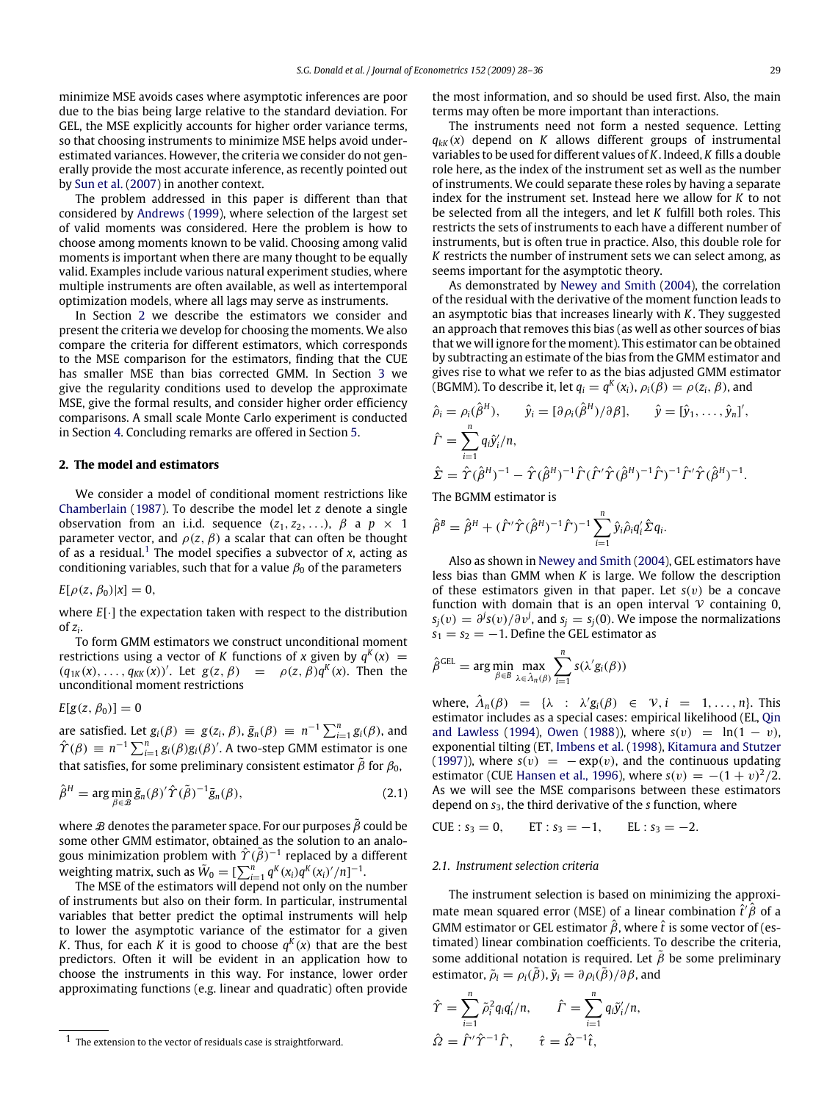minimize MSE avoids cases where asymptotic inferences are poor due to the bias being large relative to the standard deviation. For GEL, the MSE explicitly accounts for higher order variance terms, so that choosing instruments to minimize MSE helps avoid underestimated variances. However, the criteria we consider do not generally provide the most accurate inference, as recently pointed out by Sun et al. (2007) in another context.

The problem addressed in this paper is different than that considered by Andrews (1999), where selection of the largest set of valid moments was considered. Here the problem is how to choose among moments known to be valid. Choosing among valid moments is important when there are many thought to be equally valid. Examples include various natural experiment studies, where multiple instruments are often available, as well as intertemporal optimization models, where all lags may serve as instruments.

In Section 2 we describe the estimators we consider and present the criteria we develop for choosing the moments. We also compare the criteria for different estimators, which corresponds to the MSE comparison for the estimators, finding that the CUE has smaller MSE than bias corrected GMM. In Section 3 we give the regularity conditions used to develop the approximate MSE, give the formal results, and consider higher order efficiency comparisons. A small scale Monte Carlo experiment is conducted in Section 4. Concluding remarks are offered in Section 5.

#### **2. The model and estimators**

We consider a model of conditional moment restrictions like Chamberlain (1987). To describe the model let *z* denote a single observation from an i.i.d. sequence  $(z_1, z_2, \ldots)$ ,  $\beta$  a  $p \times 1$ parameter vector, and  $\rho(z, \beta)$  a scalar that can often be thought of as a residual.1 The model specifies a subvector of *x*, acting as conditioning variables, such that for a value  $\beta_0$  of the parameters

*E*[ $\rho(z, \beta_0) |x] = 0$ ,

where *E*[·] the expectation taken with respect to the distribution of *z<sup>i</sup>* .

To form GMM estimators we construct unconditional moment restrictions using a vector of *K* functions of *x* given by  $q^K(x) =$  $(q_{1K}(x), \ldots, q_{KK}(x))'$ . Let  $g(z, \beta) = \rho(z, \beta)q^{K}(x)$ . Then the unconditional moment restrictions

# $E[g(z, \beta_0)] = 0$

are satisfied. Let  $g_i(\beta) \equiv g(z_i, \beta)$ ,  $\bar{g}_n(\beta) \equiv n^{-1} \sum_{i=1}^n g_i(\beta)$ , and  $\hat{\Upsilon}(\beta) \equiv n^{-1} \sum_{i=1}^{n} g_i(\beta) g_i(\beta)'$ . A two-step GMM estimator is one that satisfies, for some preliminary consistent estimator  $\tilde{\beta}$  for  $\beta_0$ ,

$$
\hat{\beta}^{H} = \arg\min_{\beta \in \mathcal{B}} \bar{g}_n(\beta)' \hat{\Upsilon}(\tilde{\beta})^{-1} \bar{g}_n(\beta), \qquad (2.1)
$$

where  $\mathcal B$  denotes the parameter space. For our purposes  $\tilde{\beta}$  could be some other GMM estimator, obtained as the solution to an analogous minimization problem with  $\hat\Upsilon(\tilde{ \beta})^{-1}$  replaced by a different weighting matrix, such as  $\widetilde{W}_0 = [\sum_{i=1}^n q^K(x_i)q^K(x_i)'/n]^{-1}$ .

The MSE of the estimators will depend not only on the number of instruments but also on their form. In particular, instrumental variables that better predict the optimal instruments will help to lower the asymptotic variance of the estimator for a given *K*. Thus, for each *K* it is good to choose  $q^K(x)$  that are the best predictors. Often it will be evident in an application how to choose the instruments in this way. For instance, lower order approximating functions (e.g. linear and quadratic) often provide the most information, and so should be used first. Also, the main terms may often be more important than interactions.

The instruments need not form a nested sequence. Letting  $q_{kk}(x)$  depend on *K* allows different groups of instrumental variables to be used for different values of *K*. Indeed, *K* fills a double role here, as the index of the instrument set as well as the number of instruments. We could separate these roles by having a separate index for the instrument set. Instead here we allow for *K* to not be selected from all the integers, and let *K* fulfill both roles. This restricts the sets of instruments to each have a different number of instruments, but is often true in practice. Also, this double role for *K* restricts the number of instrument sets we can select among, as seems important for the asymptotic theory.

As demonstrated by Newey and Smith (2004), the correlation of the residual with the derivative of the moment function leads to an asymptotic bias that increases linearly with *K*. They suggested an approach that removes this bias (as well as other sources of bias that we will ignore for the moment). This estimator can be obtained by subtracting an estimate of the bias from the GMM estimator and gives rise to what we refer to as the bias adjusted GMM estimator (BGMM). To describe it, let  $q_i = q^K(x_i)$ ,  $\rho_i(\beta) = \rho(z_i, \beta)$ , and

$$
\hat{\rho}_i = \rho_i(\hat{\beta}^H), \qquad \hat{y}_i = [\partial \rho_i(\hat{\beta}^H)/\partial \beta], \qquad \hat{y} = [\hat{y}_1, \dots, \hat{y}_n]',
$$
  

$$
\hat{\Gamma} = \sum_{i=1}^n q_i \hat{y}'_i/n,
$$
  

$$
\hat{\Sigma} = \hat{\Upsilon}(\hat{\beta}^H)^{-1} - \hat{\Upsilon}(\hat{\beta}^H)^{-1} \hat{\Gamma}(\hat{\Gamma}' \hat{\Upsilon}(\hat{\beta}^H)^{-1} \hat{\Gamma})^{-1} \hat{\Gamma}' \hat{\Upsilon}(\hat{\beta}^H)^{-1}.
$$

The BGMM estimator is

$$
\hat{\beta}^B = \hat{\beta}^H + (\hat{\Gamma}' \hat{\Upsilon} (\hat{\beta}^H)^{-1} \hat{\Gamma})^{-1} \sum_{i=1}^n \hat{y}_i \hat{\rho}_i q_i' \hat{\Sigma} q_i.
$$

Also as shown in Newey and Smith (2004), GEL estimators have less bias than GMM when *K* is large. We follow the description of these estimators given in that paper. Let  $s(v)$  be a concave function with domain that is an open interval  $\nu$  containing 0,  $s_j(v) = \frac{\partial^j s(v)}{\partial v^j}$ , and  $s_j = s_j(0)$ . We impose the normalizations  $s_1 = s_2 = -1$ . Define the GEL estimator as

$$
\hat{\beta}^{\text{GEL}} = \arg \min_{\beta \in B} \max_{\lambda \in \hat{\Lambda}_n(\beta)} \sum_{i=1}^n s(\lambda' g_i(\beta))
$$

where,  $\hat{\lambda}_n(\beta) = {\lambda : \lambda' g_i(\beta) \in \nu, i = 1, ..., n}.$  This estimator includes as a special cases: empirical likelihood (EL, Qin and Lawless (1994), Owen (1988)), where  $s(v) = \ln(1 - v)$ , exponential tilting (ET, Imbens et al. (1998), Kitamura and Stutzer (1997)), where  $s(v) = -e^{x}p(v)$ , and the continuous updating estimator (CUE Hansen et al., 1996), where  $s(v) = -(1 + v)^2/2$ . As we will see the MSE comparisons between these estimators depend on *s*3, the third derivative of the *s* function, where

CUE :  $s_3 = 0$ , ET :  $s_3 = -1$ , EL :  $s_3 = -2$ .

#### *2.1. Instrument selection criteria*

The instrument selection is based on minimizing the approximate mean squared error (MSE) of a linear combination  $\hat{t}'\hat{\beta}$  of a GMM estimator or GEL estimator  $\hat{\beta}$ , where  $\hat{t}$  is some vector of (estimated) linear combination coefficients. To describe the criteria, some additional notation is required. Let  $\hat{\beta}$  be some preliminary estimator,  $\tilde{\rho}_i = \rho_i(\tilde{\beta}), \tilde{y}_i = \partial \rho_i(\tilde{\beta})/\partial \beta$ , and

$$
\hat{\Upsilon} = \sum_{i=1}^n \tilde{\rho}_i^2 q_i q_i'/n, \qquad \hat{\Gamma} = \sum_{i=1}^n q_i \tilde{y}_i'/n,
$$
  

$$
\hat{\Omega} = \hat{\Gamma}' \hat{\Upsilon}^{-1} \hat{\Gamma}, \qquad \hat{\tau} = \hat{\Omega}^{-1} \hat{t},
$$

<sup>1</sup> The extension to the vector of residuals case is straightforward.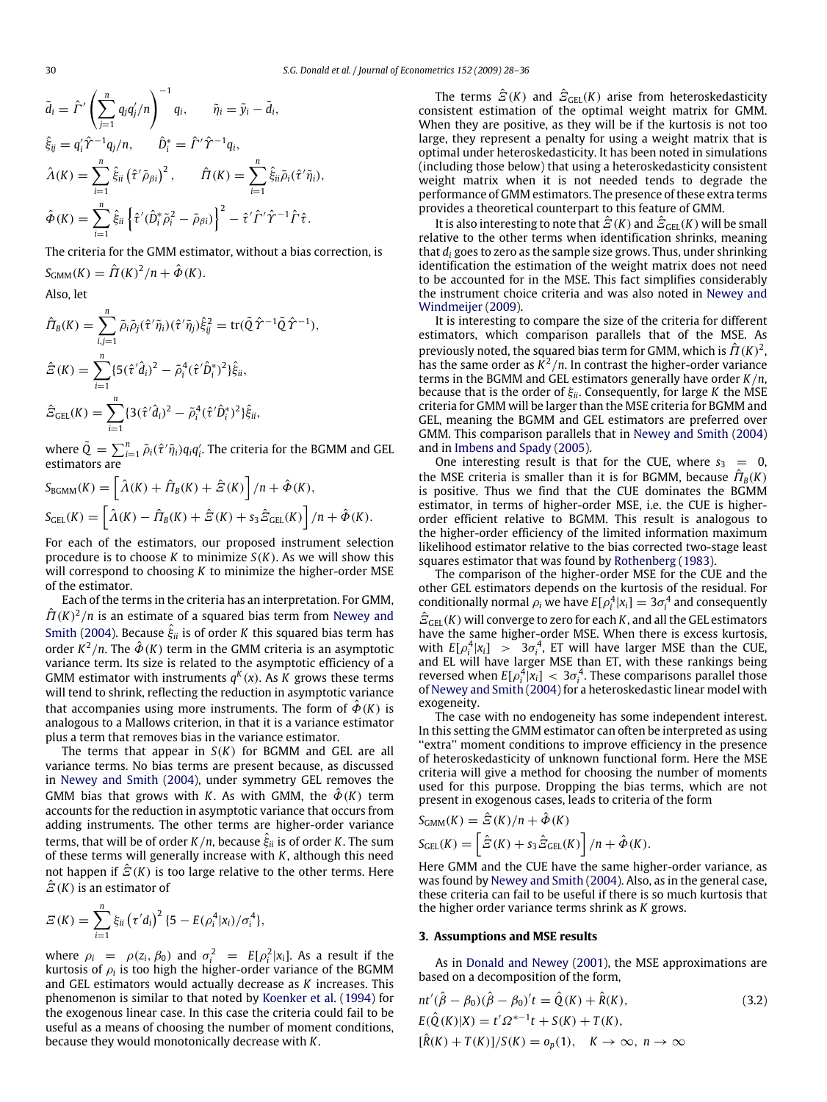$$
\tilde{d}_i = \hat{\Gamma}' \left( \sum_{j=1}^n q_j q'_j / n \right)^{-1} q_i, \qquad \tilde{\eta}_i = \tilde{y}_i - \tilde{d}_i,
$$
  

$$
\hat{\xi}_{ij} = q'_i \hat{\Upsilon}^{-1} q_j / n, \qquad \hat{D}_i^* = \hat{\Gamma}' \hat{\Upsilon}^{-1} q_i,
$$
  

$$
\hat{\Lambda}(K) = \sum_{i=1}^n \hat{\xi}_{ii} (\hat{\tau}' \tilde{\rho}_{\beta i})^2, \qquad \hat{\Pi}(K) = \sum_{i=1}^n \hat{\xi}_{ii} \tilde{\rho}_i (\hat{\tau}' \tilde{\eta}_i),
$$
  

$$
\hat{\Phi}(K) = \sum_{i=1}^n \hat{\xi}_{ii} \left\{ \hat{\tau}' (\hat{D}_i^* \tilde{\rho}_i^2 - \tilde{\rho}_{\beta i}) \right\}^2 - \hat{\tau}' \hat{\Gamma}' \hat{\Upsilon}^{-1} \hat{\Gamma} \hat{\tau}.
$$

The criteria for the GMM estimator, without a bias correction, is  $S_{\text{GMM}}(K) = \hat{\Pi}(K)^2/n + \hat{\Phi}(K).$ 

Also, let

$$
\hat{H}_{B}(K) = \sum_{i,j=1}^{n} \tilde{\rho}_{i} \tilde{\rho}_{j} (\hat{\tau}' \tilde{\eta}_{i}) (\hat{\tau}' \tilde{\eta}_{j}) \hat{\xi}_{ij}^{2} = \text{tr}(\tilde{Q} \hat{\Upsilon}^{-1} \tilde{Q} \hat{\Upsilon}^{-1}),
$$
\n
$$
\hat{\Xi}(K) = \sum_{i=1}^{n} \{5(\hat{\tau}' \hat{d}_{i})^{2} - \tilde{\rho}_{i}^{4} (\hat{\tau}' \hat{D}_{i}^{*})^{2} \} \hat{\xi}_{ii},
$$
\n
$$
\hat{\Xi}_{GEL}(K) = \sum_{i=1}^{n} \{3(\hat{\tau}' \hat{d}_{i})^{2} - \tilde{\rho}_{i}^{4} (\hat{\tau}' \hat{D}_{i}^{*})^{2} \} \hat{\xi}_{ii},
$$

where  $\tilde{Q}\,=\,\sum_{i=1}^n\tilde{\rho}_i(\hat{\tau}^\prime\tilde{\eta}_i)q_iq_i^\prime.$  The criteria for the BGMM and GEL estimators are

$$
S_{\text{BGMM}}(K) = \left[\hat{\Lambda}(K) + \hat{\Pi}_B(K) + \hat{\Xi}(K)\right] / n + \hat{\Phi}(K),
$$
  
\n
$$
S_{\text{GEL}}(K) = \left[\hat{\Lambda}(K) - \hat{\Pi}_B(K) + \hat{\Xi}(K) + s_3 \hat{\Xi}_{\text{GEL}}(K)\right] / n + \hat{\Phi}(K).
$$

For each of the estimators, our proposed instrument selection procedure is to choose *K* to minimize *S*(*K*). As we will show this will correspond to choosing *K* to minimize the higher-order MSE of the estimator.

Each of the terms in the criteria has an interpretation. For GMM,  $\hat{H}(K)^2/n$  is an estimate of a squared bias term from Newey and Smith (2004). Because  $\hat{\xi}_{ii}$  is of order  $K$  this squared bias term has order  $K^2/n$ . The  $\hat{\Phi}(K)$  term in the GMM criteria is an asymptotic variance term. Its size is related to the asymptotic efficiency of a GMM estimator with instruments  $q^K(x)$ . As K grows these terms will tend to shrink, reflecting the reduction in asymptotic variance that accompanies using more instruments. The form of  $\hat{\phi}(K)$  is analogous to a Mallows criterion, in that it is a variance estimator plus a term that removes bias in the variance estimator.

The terms that appear in *S*(*K*) for BGMM and GEL are all variance terms. No bias terms are present because, as discussed in Newey and Smith (2004), under symmetry GEL removes the GMM bias that grows with *K*. As with GMM, the  $\hat{\Phi}(K)$  term accounts for the reduction in asymptotic variance that occurs from adding instruments. The other terms are higher-order variance terms, that will be of order  $K/n$ , because  $\hat{\xi}_{ii}$  is of order  $K.$  The sum of these terms will generally increase with *K*, although this need not happen if  $\mathcal{E}(K)$  is too large relative to the other terms. Here  $\hat{E}(K)$  is an estimator of

$$
E(K) = \sum_{i=1}^{n} \xi_{ii} ( \tau' d_i )^2 \{ 5 - E(\rho_i^4 | x_i) / \sigma_i^4 \},
$$

where  $\rho_i = \rho(z_i, \beta_0)$  and  $\sigma_i^2 = E[\rho_i^2 | x_i]$ . As a result if the kurtosis of  $\rho_i$  is too high the higher-order variance of the BGMM and GEL estimators would actually decrease as *K* increases. This phenomenon is similar to that noted by Koenker et al. (1994) for the exogenous linear case. In this case the criteria could fail to be useful as a means of choosing the number of moment conditions, because they would monotonically decrease with *K*.

The terms  $\hat{\mathcal{Z}}(K)$  and  $\hat{\mathcal{Z}}_{\text{GEL}}(K)$  arise from heteroskedasticity consistent estimation of the optimal weight matrix for GMM. When they are positive, as they will be if the kurtosis is not too large, they represent a penalty for using a weight matrix that is optimal under heteroskedasticity. It has been noted in simulations (including those below) that using a heteroskedasticity consistent weight matrix when it is not needed tends to degrade the performance of GMM estimators. The presence of these extra terms provides a theoretical counterpart to this feature of GMM.

It is also interesting to note that  $\hat{\mathcal{Z}}(K)$  and  $\hat{\mathcal{Z}}_{\text{GEL}}(K)$  will be small relative to the other terms when identification shrinks, meaning that *d<sup>i</sup>* goes to zero as the sample size grows. Thus, under shrinking identification the estimation of the weight matrix does not need to be accounted for in the MSE. This fact simplifies considerably the instrument choice criteria and was also noted in Newey and Windmeijer (2009).

It is interesting to compare the size of the criteria for different estimators, which comparison parallels that of the MSE. As previously noted, the squared bias term for GMM, which is  $\hat{\Pi}(K)^2$ , has the same order as  $K^2/n$ . In contrast the higher-order variance terms in the BGMM and GEL estimators generally have order *K*/*n*, because that is the order of ξ*ii*. Consequently, for large *K* the MSE criteria for GMM will be larger than the MSE criteria for BGMM and GEL, meaning the BGMM and GEL estimators are preferred over GMM. This comparison parallels that in Newey and Smith (2004) and in Imbens and Spady (2005).

One interesting result is that for the CUE, where  $s_3 = 0$ , the MSE criteria is smaller than it is for BGMM, because  $\hat{\Pi}_B(K)$ is positive. Thus we find that the CUE dominates the BGMM estimator, in terms of higher-order MSE, i.e. the CUE is higherorder efficient relative to BGMM. This result is analogous to the higher-order efficiency of the limited information maximum likelihood estimator relative to the bias corrected two-stage least squares estimator that was found by Rothenberg (1983).

The comparison of the higher-order MSE for the CUE and the other GEL estimators depends on the kurtosis of the residual. For conditionally normal  $\rho_i$  we have  $E[\rho_i^4 | x_i] = 3\sigma_i^4$  and consequently  $\hat{\mathcal{Z}}_{\text{GEL}}(K)$  will converge to zero for each  $K$ , and all the GEL estimators have the same higher-order MSE. When there is excess kurtosis, with  $E[\rho_i^4 | x_i] > 3\sigma_i^4$ , ET will have larger MSE than the CUE, and EL will have larger MSE than ET, with these rankings being reversed when  $E[\rho_i^4 | x_i] < 3\sigma_i^4$ . These comparisons parallel those of Newey and Smith (2004) for a heteroskedastic linear model with exogeneity.

The case with no endogeneity has some independent interest. In this setting the GMM estimator can often be interpreted as using "extra" moment conditions to improve efficiency in the presence of heteroskedasticity of unknown functional form. Here the MSE criteria will give a method for choosing the number of moments used for this purpose. Dropping the bias terms, which are not present in exogenous cases, leads to criteria of the form

$$
S_{GMM}(K) = \hat{E}(K)/n + \hat{\Phi}(K)
$$
  
\n
$$
S_{GEL}(K) = \left[ \hat{E}(K) + s_3 \hat{E}_{GEL}(K) \right] / n + \hat{\Phi}(K).
$$

Here GMM and the CUE have the same higher-order variance, as was found by Newey and Smith (2004). Also, as in the general case, these criteria can fail to be useful if there is so much kurtosis that the higher order variance terms shrink as *K* grows.

## **3. Assumptions and MSE results**

As in Donald and Newey (2001), the MSE approximations are based on a decomposition of the form,

$$
nt'(\hat{\beta} - \beta_0)(\hat{\beta} - \beta_0)'t = \hat{Q}(K) + \hat{R}(K),
$$
  
\n
$$
E(\hat{Q}(K)|X) = t'\Omega^{*-1}t + S(K) + T(K),
$$
  
\n
$$
[\hat{R}(K) + T(K)]/S(K) = o_p(1), \quad K \to \infty, n \to \infty
$$
\n(3.2)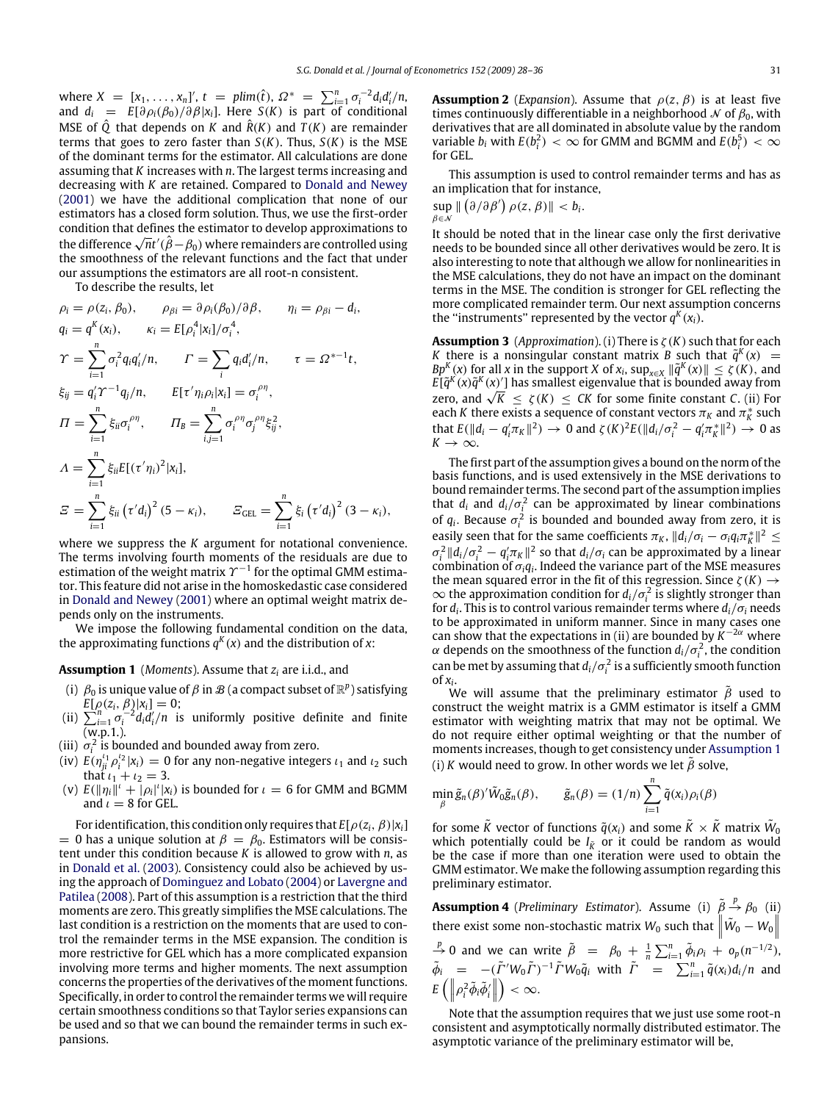where  $X = [x_1, \ldots, x_n]'$ ,  $t = \text{plim}(\hat{t})$ ,  $\Omega^* = \sum_{i=1}^n \sigma_i^{-2} d_i d'_i / n$ , and  $d_i = E[\partial \rho_i(\beta_0)/\partial \beta | x_i]$ . Here *S*(*K*) is part of conditional MSE of  $\hat{O}$  that depends on *K* and  $\hat{R}(K)$  and  $T(K)$  are remainder terms that goes to zero faster than *S*(*K*). Thus, *S*(*K*) is the MSE of the dominant terms for the estimator. All calculations are done assuming that *K* increases with *n*. The largest terms increasing and decreasing with *K* are retained. Compared to Donald and Newey (2001) we have the additional complication that none of our estimators has a closed form solution. Thus, we use the first-order condition that defines the estimator to develop approximations to  $\alpha$  condition that defines the estimator to develop approximations to the difference  $\sqrt{n}t'(\hat{\beta}-\beta_0)$  where remainders are controlled using the smoothness of the relevant functions and the fact that under our assumptions the estimators are all root-n consistent.

To describe the results, let

$$
\rho_{i} = \rho(z_{i}, \beta_{0}), \qquad \rho_{\beta i} = \partial \rho_{i}(\beta_{0})/\partial \beta, \qquad \eta_{i} = \rho_{\beta i} - d_{i},
$$
  
\n
$$
q_{i} = q^{K}(x_{i}), \qquad \kappa_{i} = E[\rho_{i}^{4}|x_{i}]/\sigma_{i}^{4},
$$
  
\n
$$
\gamma = \sum_{i=1}^{n} \sigma_{i}^{2} q_{i} q'_{i}/n, \qquad \Gamma = \sum_{i} q_{i} d'_{i}/n, \qquad \tau = \Omega^{*-1} t,
$$
  
\n
$$
\xi_{ij} = q'_{i} \gamma^{-1} q_{j}/n, \qquad E[\tau' \eta_{i} \rho_{i}|x_{i}] = \sigma_{i}^{\rho \eta},
$$
  
\n
$$
\Pi = \sum_{i=1}^{n} \xi_{ii} \sigma_{i}^{\rho \eta}, \qquad \Pi_{B} = \sum_{i,j=1}^{n} \sigma_{i}^{\rho \eta} \sigma_{j}^{\rho \eta} \xi_{ij}^{2},
$$
  
\n
$$
\Lambda = \sum_{i=1}^{n} \xi_{ii} E[(\tau' \eta_{i})^{2}|x_{i}],
$$
  
\n
$$
\Xi = \sum_{i=1}^{n} \xi_{ii} (\tau' d_{i})^{2} (5 - \kappa_{i}), \qquad \Xi_{GEL} = \sum_{i=1}^{n} \xi_{i} (\tau' d_{i})^{2} (3 - \kappa_{i}),
$$

where we suppress the *K* argument for notational convenience. The terms involving fourth moments of the residuals are due to estimation of the weight matrix  $\varUpsilon^{-1}$  for the optimal GMM estimator. This feature did not arise in the homoskedastic case considered in Donald and Newey (2001) where an optimal weight matrix depends only on the instruments.

We impose the following fundamental condition on the data, the approximating functions  $q^K(x)$  and the distribution of x:

#### **Assumption 1** (*Moments*). Assume that *z<sup>i</sup>* are i.i.d., and

- (i)  $\,\beta_0$  is unique value of  $\beta$  in  $\mathcal B$  (a compact subset of  $\mathbb R^p$ ) satisfying  $E[\rho(z_i, \beta)|x_i] = 0;$
- (ii)  $\sum_{i=1}^{n} \sigma_i^{-2} d_i d'_i / n$  is uniformly positive definite and finite (w.p.1.).
- (iii)  $\sigma_i^2$  is bounded and bounded away from zero.
- (iv)  $E(\eta_{ji}^{t_1} \rho_i^{t_2} | x_i) = 0$  for any non-negative integers  $t_1$  and  $t_2$  such that  $i_1 + i_2 = 3$ .
- (v)  $E(||\eta_i||^t + |\rho_i|^t |x_i)$  is bounded for  $\iota = 6$  for GMM and BGMM and  $\iota = 8$  for GEL.

For identification, this condition only requires that  $E[\rho(z_i, \beta)|x_i]$ = 0 has a unique solution at  $\beta = \beta_0$ . Estimators will be consistent under this condition because *K* is allowed to grow with *n*, as in Donald et al. (2003). Consistency could also be achieved by using the approach of Dominguez and Lobato (2004) or Lavergne and Patilea (2008). Part of this assumption is a restriction that the third moments are zero. This greatly simplifies the MSE calculations. The last condition is a restriction on the moments that are used to control the remainder terms in the MSE expansion. The condition is more restrictive for GEL which has a more complicated expansion involving more terms and higher moments. The next assumption concerns the properties of the derivatives of the moment functions. Specifically, in order to control the remainder terms we will require certain smoothness conditions so that Taylor series expansions can be used and so that we can bound the remainder terms in such expansions.

**Assumption 2** (*Expansion*). Assume that  $\rho(z, \beta)$  is at least five times continuously differentiable in a neighborhood  $\mathcal N$  of  $\beta_0$ , with derivatives that are all dominated in absolute value by the random variable  $b_i$  with  $E(b_i^2) < \infty$  for GMM and BGMM and  $E(b_i^5) < \infty$ for GEL.

This assumption is used to control remainder terms and has as an implication that for instance,

.

$$
\sup_{\beta \in \mathcal{N}} \| (\partial / \partial \beta') \, \rho(z, \beta) \| < b_i
$$

It should be noted that in the linear case only the first derivative needs to be bounded since all other derivatives would be zero. It is also interesting to note that although we allow for nonlinearities in the MSE calculations, they do not have an impact on the dominant terms in the MSE. The condition is stronger for GEL reflecting the more complicated remainder term. Our next assumption concerns the "instruments" represented by the vector  $q^K(x_i)$ .

**Assumption 3** (*Approximation*). (i) There is ζ (*K*) such that for each *K* there is a nonsingular constant matrix *B* such that  $\tilde{q}^K(x)$  = *Bp<sup>K</sup>*(*x*) for all *x* in the support *X* of  $x_i$ ,  $\sup_{x \in X} \|\tilde{q}^K(x)\| \le \zeta(K)$ , and  $E[\tilde{q}^K(x)\tilde{q}^K(x)']$  has smallest eigenvalue that is bounded away from *E*[q^ (*x*)q^ (*x*)^] has smallest eigenvalue that is bounded away from zero, and  $\sqrt{K}$  ≤  $\zeta$ (*K*) ≤ *CK* for some finite constant *C*. (ii) For each *K* there exists a sequence of constant vectors  $\pi_K$  and  $\pi_K^*$  such that  $E(||d_i - q'_i \pi_K||^2) \to 0$  and  $\zeta(K)^2 E(||d_i/\sigma_i^2 - q'_i \pi_K^*||^2) \to 0$  as  $K \rightarrow \infty$ .

The first part of the assumption gives a bound on the norm of the basis functions, and is used extensively in the MSE derivations to bound remainder terms. The second part of the assumption implies that  $d_i$  and  $d_i/\sigma_i^2$  can be approximated by linear combinations of  $q_i$ . Because  $\sigma_i^2$  is bounded and bounded away from zero, it is easily seen that for the same coefficients  $\pi_K$ ,  $\| d_i / \sigma_i - \sigma_i q_i \pi_K^* \|^2 \leq$  $\sigma_i^2 ||d_i/\sigma_i^2 - q'_i \pi_K||^2$  so that  $d_i/\sigma_i$  can be approximated by a linear combination of  $\sigma_i q_i$ . Indeed the variance part of the MSE measures the mean squared error in the fit of this regression. Since  $\zeta(K) \rightarrow$  $\infty$  the approximation condition for  $d_i/\sigma_i^2$  is slightly stronger than for *d<sup>i</sup>* . This is to control various remainder terms where *di*/σ*<sup>i</sup>* needs to be approximated in uniform manner. Since in many cases one can show that the expectations in (ii) are bounded by  $K^{-2\alpha}$  where  $\alpha$  depends on the smoothness of the function  $d_i/\sigma_i^2$ , the condition can be met by assuming that  $d_i/\sigma_i^2$  is a sufficiently smooth function

of  $x_i$ .<br>We will assume that the preliminary estimator  $\tilde{\beta}$  used to construct the weight matrix is a GMM estimator is itself a GMM estimator with weighting matrix that may not be optimal. We do not require either optimal weighting or that the number of moments increases, though to get consistency under Assumption 1 (i) *K* would need to grow. In other words we let  $\tilde{\beta}$  solve,

$$
\min_{\beta} \tilde{g}_n(\beta)' \tilde{W}_0 \tilde{g}_n(\beta), \qquad \tilde{g}_n(\beta) = (1/n) \sum_{i=1}^n \tilde{q}(x_i) \rho_i(\beta)
$$

for some  $\tilde{K}$  vector of functions  $\tilde{q}(x_i)$  and some  $\tilde{K} \times \tilde{K}$  matrix  $\tilde{W}_0$ which potentially could be  $I_{\tilde{K}}$  or it could be random as would be the case if more than one iteration were used to obtain the GMM estimator. We make the following assumption regarding this preliminary estimator.

**Assumption 4** (*Preliminary Estimator*). Assume (i)  $\tilde{\beta} \stackrel{p}{\rightarrow} \beta_0$  (ii) there exist some non-stochastic matrix  $W_0$  such that  $\left\| \tilde{W}_0 - W_0 \right\|$ 

*p*<sub>1</sub>  $\rightarrow$  0 and we can write  $\tilde{\beta} = \beta_0 + \frac{1}{n} \sum_{i=1}^n \tilde{\phi}_i \rho_i + o_p(n^{-1/2})$  $\tilde{\phi}_i = -(\tilde{\Gamma}' W_0 \tilde{\Gamma})^{-1} \tilde{\Gamma} W_0 \tilde{q}_i$  with  $\tilde{\Gamma}$  =  $\sum_{i=1}^n \tilde{q}(x_i) d_i/n$  and  $E\left(\left\|\rho_i^2\tilde{\phi}_i\tilde{\phi}'_i\right\| \right)$  $\bigg) < \infty$ .

Note that the assumption requires that we just use some root-n consistent and asymptotically normally distributed estimator. The asymptotic variance of the preliminary estimator will be,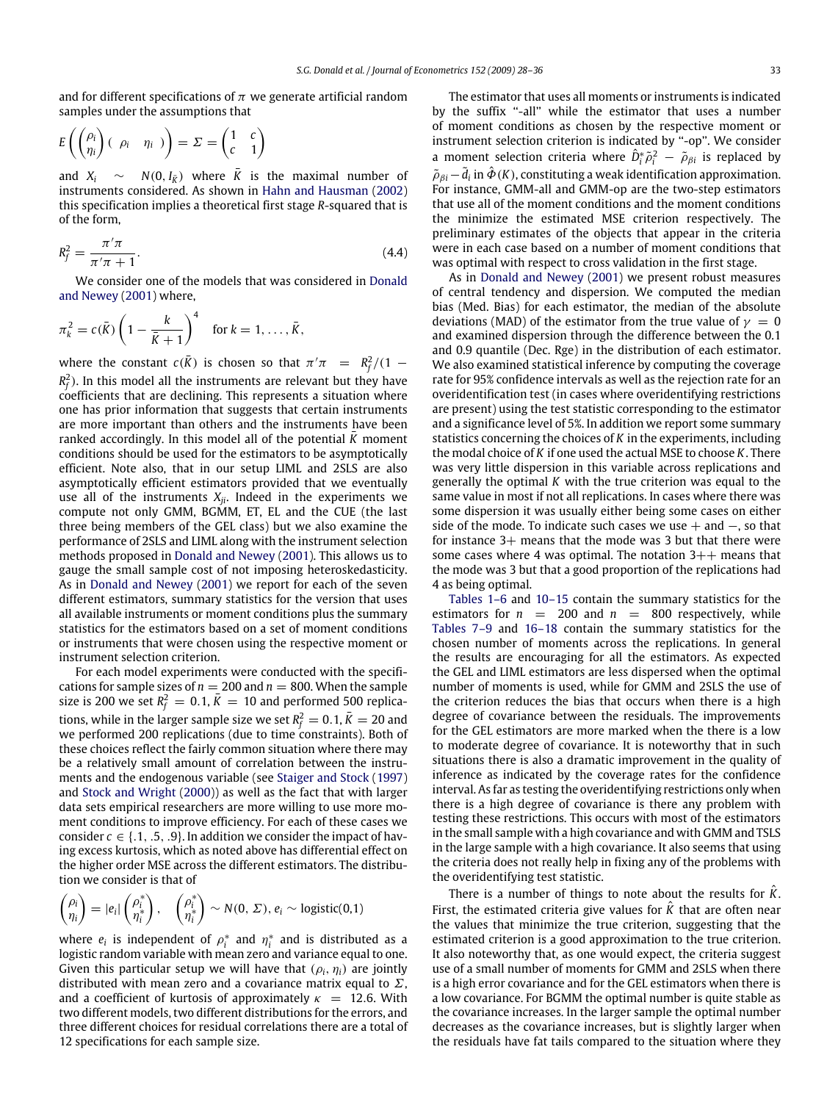and for different specifications of  $\pi$  we generate artificial random samples under the assumptions that

$$
E\left(\begin{pmatrix} \rho_i \\ \eta_i \end{pmatrix} \begin{pmatrix} \rho_i & \eta_i \end{pmatrix}\right) = \Sigma = \begin{pmatrix} 1 & c \\ c & 1 \end{pmatrix}
$$

and  $X_i \sim N(0, I_{\overline{K}})$  where  $\overline{K}$  is the maximal number of instruments considered. As shown in Hahn and Hausman (2002) this specification implies a theoretical first stage *R*-squared that is of the form,

$$
R_f^2 = \frac{\pi'\pi}{\pi'\pi + 1}.\tag{4.4}
$$

We consider one of the models that was considered in Donald and Newey (2001) where,

$$
\pi_k^2 = c(\bar{K}) \left(1 - \frac{k}{\bar{K} + 1}\right)^4 \quad \text{for } k = 1, \ldots, \bar{K},
$$

where the constant  $c(\bar{K})$  is chosen so that  $\pi^{\prime}\pi = R_f^2/(1 - \frac{1}{2})$  $R_f^2$ ). In this model all the instruments are relevant but they have coefficients that are declining. This represents a situation where one has prior information that suggests that certain instruments are more important than others and the instruments have been ranked accordingly. In this model all of the potential *K* moment conditions should be used for the estimators to be asymptotically efficient. Note also, that in our setup LIML and 2SLS are also asymptotically efficient estimators provided that we eventually use all of the instruments  $X_{ji}$ . Indeed in the experiments we compute not only GMM, BGMM, ET, EL and the CUE (the last three being members of the GEL class) but we also examine the performance of 2SLS and LIML along with the instrument selection methods proposed in Donald and Newey (2001). This allows us to gauge the small sample cost of not imposing heteroskedasticity. As in Donald and Newey (2001) we report for each of the seven different estimators, summary statistics for the version that uses all available instruments or moment conditions plus the summary statistics for the estimators based on a set of moment conditions or instruments that were chosen using the respective moment or instrument selection criterion.

For each model experiments were conducted with the specifications for sample sizes of  $n = 200$  and  $n = 800$ . When the sample size is 200 we set  $R_f^2 = 0.1$ ,  $\bar{K} = 10$  and performed 500 replications, while in the larger sample size we set  $R_f^2 = 0.1, \bar{K} = 20$  and we performed 200 replications (due to time constraints). Both of these choices reflect the fairly common situation where there may be a relatively small amount of correlation between the instruments and the endogenous variable (see Staiger and Stock (1997) and Stock and Wright (2000)) as well as the fact that with larger data sets empirical researchers are more willing to use more moment conditions to improve efficiency. For each of these cases we consider  $c \in \{.1, .5, .9\}$ . In addition we consider the impact of having excess kurtosis, which as noted above has differential effect on the higher order MSE across the different estimators. The distribution we consider is that of

$$
\begin{pmatrix} \rho_i \\ \eta_i \end{pmatrix} = |e_i| \begin{pmatrix} \rho_i^* \\ \eta_i^* \end{pmatrix}, \quad \begin{pmatrix} \rho_i^* \\ \eta_i^* \end{pmatrix} \sim N(0, \Sigma), e_i \sim \text{logistic}(0,1)
$$

where  $e_i$  is independent of  $\rho_i^*$  and  $\eta_i^*$  and is distributed as a logistic random variable with mean zero and variance equal to one. Given this particular setup we will have that  $(\rho_i, \eta_i)$  are jointly distributed with mean zero and a covariance matrix equal to  $\Sigma$ , and a coefficient of kurtosis of approximately  $\kappa = 12.6$ . With two different models, two different distributions for the errors, and three different choices for residual correlations there are a total of 12 specifications for each sample size.

The estimator that uses all moments or instruments is indicated by the suffix "-all" while the estimator that uses a number of moment conditions as chosen by the respective moment or instrument selection criterion is indicated by ''-op''. We consider a moment selection criteria where  $\hat{D}_i^* \tilde{\rho}_i^2 - \tilde{\rho}_{\beta i}$  is replaced by  $\tilde{\rho}_{\beta i}$  –  $\tilde{d}_i$  in  $\hat{\Phi}$  (K), constituting a weak identification approximation. For instance, GMM-all and GMM-op are the two-step estimators that use all of the moment conditions and the moment conditions the minimize the estimated MSE criterion respectively. The preliminary estimates of the objects that appear in the criteria were in each case based on a number of moment conditions that was optimal with respect to cross validation in the first stage.

As in Donald and Newey (2001) we present robust measures of central tendency and dispersion. We computed the median bias (Med. Bias) for each estimator, the median of the absolute deviations (MAD) of the estimator from the true value of  $\gamma = 0$ and examined dispersion through the difference between the 0.1 and 0.9 quantile (Dec. Rge) in the distribution of each estimator. We also examined statistical inference by computing the coverage rate for 95% confidence intervals as well as the rejection rate for an overidentification test (in cases where overidentifying restrictions are present) using the test statistic corresponding to the estimator and a significance level of 5%. In addition we report some summary statistics concerning the choices of *K* in the experiments, including the modal choice of *K* if one used the actual MSE to choose *K*. There was very little dispersion in this variable across replications and generally the optimal *K* with the true criterion was equal to the same value in most if not all replications. In cases where there was some dispersion it was usually either being some cases on either side of the mode. To indicate such cases we use  $+$  and  $-$ , so that for instance 3+ means that the mode was 3 but that there were some cases where 4 was optimal. The notation  $3++$  means that the mode was 3 but that a good proportion of the replications had 4 as being optimal.

Tables 1–6 and 10–15 contain the summary statistics for the estimators for  $n = 200$  and  $n = 800$  respectively, while Tables 7–9 and 16–18 contain the summary statistics for the chosen number of moments across the replications. In general the results are encouraging for all the estimators. As expected the GEL and LIML estimators are less dispersed when the optimal number of moments is used, while for GMM and 2SLS the use of the criterion reduces the bias that occurs when there is a high degree of covariance between the residuals. The improvements for the GEL estimators are more marked when the there is a low to moderate degree of covariance. It is noteworthy that in such situations there is also a dramatic improvement in the quality of inference as indicated by the coverage rates for the confidence interval. As far as testing the overidentifying restrictions only when there is a high degree of covariance is there any problem with testing these restrictions. This occurs with most of the estimators in the small sample with a high covariance and with GMM and TSLS in the large sample with a high covariance. It also seems that using the criteria does not really help in fixing any of the problems with the overidentifying test statistic.

There is a number of things to note about the results for *<sup>K</sup>*ˆ. First, the estimated criteria give values for *K* that are often near the values that minimize the true criterion, suggesting that the estimated criterion is a good approximation to the true criterion. It also noteworthy that, as one would expect, the criteria suggest use of a small number of moments for GMM and 2SLS when there is a high error covariance and for the GEL estimators when there is a low covariance. For BGMM the optimal number is quite stable as the covariance increases. In the larger sample the optimal number decreases as the covariance increases, but is slightly larger when the residuals have fat tails compared to the situation where they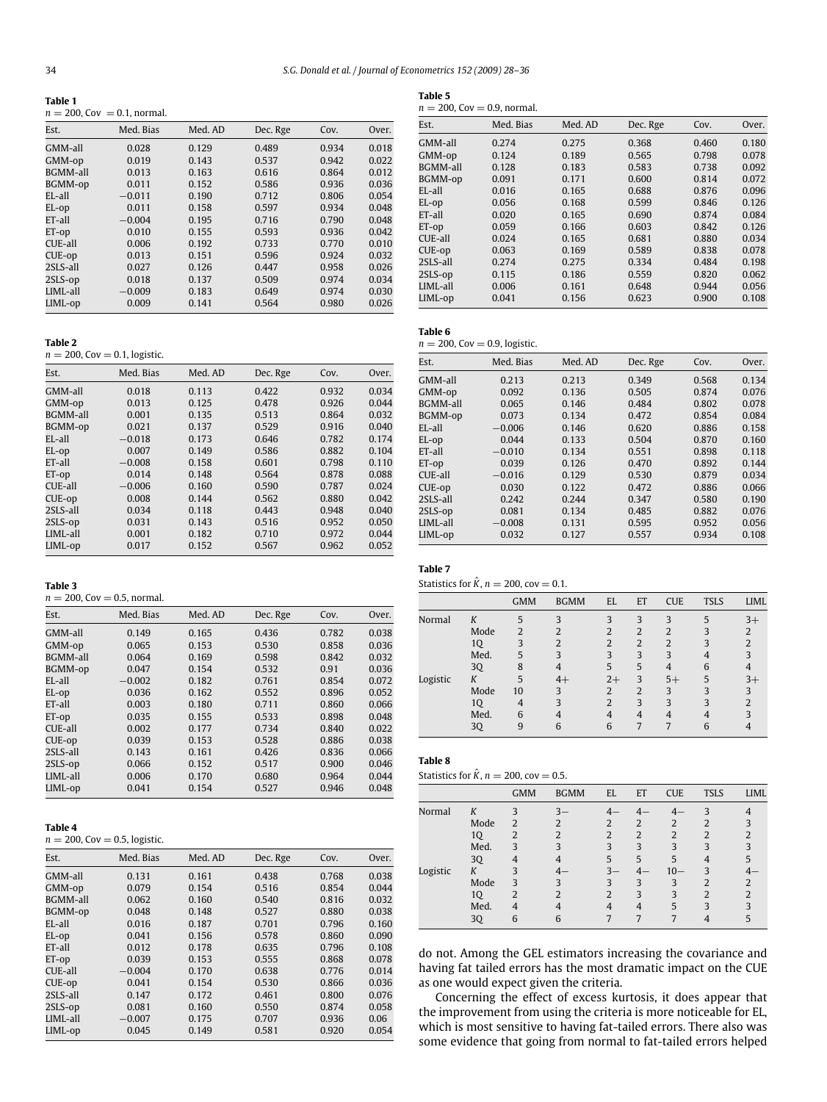**Table 5**

|--|

 $n = 200$ , Cov = 0.1, normal.

| Est.            | Med. Bias | Med. AD | Dec. Rge | Cov.  | Over. |
|-----------------|-----------|---------|----------|-------|-------|
| GMM-all         | 0.028     | 0.129   | 0.489    | 0.934 | 0.018 |
| GMM-op          | 0.019     | 0.143   | 0.537    | 0.942 | 0.022 |
| <b>BGMM-all</b> | 0.013     | 0.163   | 0.616    | 0.864 | 0.012 |
| BGMM-op         | 0.011     | 0.152   | 0.586    | 0.936 | 0.036 |
| EL-all          | $-0.011$  | 0.190   | 0.712    | 0.806 | 0.054 |
| EL-op           | 0.011     | 0.158   | 0.597    | 0.934 | 0.048 |
| ET-all          | $-0.004$  | 0.195   | 0.716    | 0.790 | 0.048 |
| ET-op           | 0.010     | 0.155   | 0.593    | 0.936 | 0.042 |
| CUE-all         | 0.006     | 0.192   | 0.733    | 0.770 | 0.010 |
| CUE-op          | 0.013     | 0.151   | 0.596    | 0.924 | 0.032 |
| 2SLS-all        | 0.027     | 0.126   | 0.447    | 0.958 | 0.026 |
| 2SLS-op         | 0.018     | 0.137   | 0.509    | 0.974 | 0.034 |
| LIML-all        | $-0.009$  | 0.183   | 0.649    | 0.974 | 0.030 |
| LIML-op         | 0.009     | 0.141   | 0.564    | 0.980 | 0.026 |

| ٠ |  |
|---|--|

**Table 2**<br>*n =* 200, Cov = 0.1, logistic.

| $\mu = 200, \text{cov} = 0.1, \text{log} = 0$ |           |         |          |       |       |  |  |  |
|-----------------------------------------------|-----------|---------|----------|-------|-------|--|--|--|
| Est.                                          | Med. Bias | Med. AD | Dec. Rge | Cov.  | Over. |  |  |  |
| GMM-all                                       | 0.018     | 0.113   | 0.422    | 0.932 | 0.034 |  |  |  |
| GMM-op                                        | 0.013     | 0.125   | 0.478    | 0.926 | 0.044 |  |  |  |
| <b>BGMM-all</b>                               | 0.001     | 0.135   | 0.513    | 0.864 | 0.032 |  |  |  |
| BGMM-op                                       | 0.021     | 0.137   | 0.529    | 0.916 | 0.040 |  |  |  |
| EL-all                                        | $-0.018$  | 0.173   | 0.646    | 0.782 | 0.174 |  |  |  |
| EL-op                                         | 0.007     | 0.149   | 0.586    | 0.882 | 0.104 |  |  |  |
| ET-all                                        | $-0.008$  | 0.158   | 0.601    | 0.798 | 0.110 |  |  |  |
| ET-op                                         | 0.014     | 0.148   | 0.564    | 0.878 | 0.088 |  |  |  |
| CUE-all                                       | $-0.006$  | 0.160   | 0.590    | 0.787 | 0.024 |  |  |  |
| CUE-op                                        | 0.008     | 0.144   | 0.562    | 0.880 | 0.042 |  |  |  |
| 2SLS-all                                      | 0.034     | 0.118   | 0.443    | 0.948 | 0.040 |  |  |  |
| 2SLS-op                                       | 0.031     | 0.143   | 0.516    | 0.952 | 0.050 |  |  |  |
| LIML-all                                      | 0.001     | 0.182   | 0.710    | 0.972 | 0.044 |  |  |  |
| LIML-op                                       | 0.017     | 0.152   | 0.567    | 0.962 | 0.052 |  |  |  |
|                                               |           |         |          |       |       |  |  |  |

# **Table 3**

 $n = 200$ , Cov = 0.5, normal.

| Est.            | Med. Bias | Med. AD | Dec. Rge | Cov.  | Over. |
|-----------------|-----------|---------|----------|-------|-------|
| GMM-all         | 0.149     | 0.165   | 0.436    | 0.782 | 0.038 |
| GMM-op          | 0.065     | 0.153   | 0.530    | 0.858 | 0.036 |
| <b>BGMM-all</b> | 0.064     | 0.169   | 0.598    | 0.842 | 0.032 |
| BGMM-op         | 0.047     | 0.154   | 0.532    | 0.91  | 0.036 |
| $E$ I-all       | $-0.002$  | 0.182   | 0.761    | 0.854 | 0.072 |
| EL-op           | 0.036     | 0.162   | 0.552    | 0.896 | 0.052 |
| ET-all          | 0.003     | 0.180   | 0.711    | 0.860 | 0.066 |
| ET-op           | 0.035     | 0.155   | 0.533    | 0.898 | 0.048 |
| CUE-all         | 0.002     | 0.177   | 0.734    | 0.840 | 0.022 |
| CUE-op          | 0.039     | 0.153   | 0.528    | 0.886 | 0.038 |
| 2SLS-all        | 0.143     | 0.161   | 0.426    | 0.836 | 0.066 |
| 2SLS-op         | 0.066     | 0.152   | 0.517    | 0.900 | 0.046 |
| LIML-all        | 0.006     | 0.170   | 0.680    | 0.964 | 0.044 |
| LIML-op         | 0.041     | 0.154   | 0.527    | 0.946 | 0.048 |

#### **Table 4**

 $n = 200$ , Cov = 0.5, logistic.

| Est.            | Med. Bias | Med. AD | Dec. Rge | Cov.  | Over. |
|-----------------|-----------|---------|----------|-------|-------|
| GMM-all         | 0.131     | 0.161   | 0.438    | 0.768 | 0.038 |
| GMM-op          | 0.079     | 0.154   | 0.516    | 0.854 | 0.044 |
| <b>BGMM-all</b> | 0.062     | 0.160   | 0.540    | 0.816 | 0.032 |
| BGMM-op         | 0.048     | 0.148   | 0.527    | 0.880 | 0.038 |
| $E$ I-all       | 0.016     | 0.187   | 0.701    | 0.796 | 0.160 |
| EL-op           | 0.041     | 0.156   | 0.578    | 0.860 | 0.090 |
| ET-all          | 0.012     | 0.178   | 0.635    | 0.796 | 0.108 |
| ET-op           | 0.039     | 0.153   | 0.555    | 0.868 | 0.078 |
| CUE-all         | $-0.004$  | 0.170   | 0.638    | 0.776 | 0.014 |
| CUE-op          | 0.041     | 0.154   | 0.530    | 0.866 | 0.036 |
| 2SLS-all        | 0.147     | 0.172   | 0.461    | 0.800 | 0.076 |
| 2SLS-op         | 0.081     | 0.160   | 0.550    | 0.874 | 0.058 |
| LIML-all        | $-0.007$  | 0.175   | 0.707    | 0.936 | 0.06  |
| LIML-op         | 0.045     | 0.149   | 0.581    | 0.920 | 0.054 |

| $n = 200$ , Cov = 0.9, normal. |           |         |          |       |       |  |  |  |  |  |
|--------------------------------|-----------|---------|----------|-------|-------|--|--|--|--|--|
| Est.                           | Med. Bias | Med. AD | Dec. Rge | Cov.  | Over. |  |  |  |  |  |
| GMM-all                        | 0.274     | 0.275   | 0.368    | 0.460 | 0.180 |  |  |  |  |  |
| GMM-op                         | 0.124     | 0.189   | 0.565    | 0.798 | 0.078 |  |  |  |  |  |
| BGMM-all                       | 0.128     | 0.183   | 0.583    | 0.738 | 0.092 |  |  |  |  |  |
| BGMM-op                        | 0.091     | 0.171   | 0.600    | 0.814 | 0.072 |  |  |  |  |  |
| EL-all                         | 0.016     | 0.165   | 0.688    | 0.876 | 0.096 |  |  |  |  |  |
| EL-op                          | 0.056     | 0.168   | 0.599    | 0.846 | 0.126 |  |  |  |  |  |
| ET-all                         | 0.020     | 0.165   | 0.690    | 0.874 | 0.084 |  |  |  |  |  |
| ET-op                          | 0.059     | 0.166   | 0.603    | 0.842 | 0.126 |  |  |  |  |  |
| CUE-all                        | 0.024     | 0.165   | 0.681    | 0.880 | 0.034 |  |  |  |  |  |
| CUE-op                         | 0.063     | 0.169   | 0.589    | 0.838 | 0.078 |  |  |  |  |  |
| 2SLS-all                       | 0.274     | 0.275   | 0.334    | 0.484 | 0.198 |  |  |  |  |  |
| 2SLS-op                        | 0.115     | 0.186   | 0.559    | 0.820 | 0.062 |  |  |  |  |  |
| LIML-all                       | 0.006     | 0.161   | 0.648    | 0.944 | 0.056 |  |  |  |  |  |
| LIML-op                        | 0.041     | 0.156   | 0.623    | 0.900 | 0.108 |  |  |  |  |  |

#### **Table 6**  $n = 200$ , Cov = 0.9, logistic.

| Est.      | Med. Bias | Med. AD | Dec. Rge | Cov.  | Over. |
|-----------|-----------|---------|----------|-------|-------|
| GMM-all   | 0.213     | 0.213   | 0.349    | 0.568 | 0.134 |
| GMM-op    | 0.092     | 0.136   | 0.505    | 0.874 | 0.076 |
| BGMM-all  | 0.065     | 0.146   | 0.484    | 0.802 | 0.078 |
| BGMM-op   | 0.073     | 0.134   | 0.472    | 0.854 | 0.084 |
| $E$ L-all | $-0.006$  | 0.146   | 0.620    | 0.886 | 0.158 |
| EL-op     | 0.044     | 0.133   | 0.504    | 0.870 | 0.160 |
| ET-all    | $-0.010$  | 0.134   | 0.551    | 0.898 | 0.118 |
| ET-op     | 0.039     | 0.126   | 0.470    | 0.892 | 0.144 |
| CUE-all   | $-0.016$  | 0.129   | 0.530    | 0.879 | 0.034 |
| CUE-op    | 0.030     | 0.122   | 0.472    | 0.886 | 0.066 |
| 2SLS-all  | 0.242     | 0.244   | 0.347    | 0.580 | 0.190 |
| 2SLS-op   | 0.081     | 0.134   | 0.485    | 0.882 | 0.076 |
| LIML-all  | $-0.008$  | 0.131   | 0.595    | 0.952 | 0.056 |
| LIML-op   | 0.032     | 0.127   | 0.557    | 0.934 | 0.108 |
|           |           |         |          |       |       |

# **Table 7**

Statistics for  $\hat{K}$ ,  $n = 200$ , cov = 0.1.

|          |      | <b>GMM</b>               | <b>BGMM</b>              | EL                       | ET                       | <b>CUE</b>     | <b>TSLS</b> | LIML |
|----------|------|--------------------------|--------------------------|--------------------------|--------------------------|----------------|-------------|------|
| Normal   | K    | 5                        | 3                        | 3                        | 3                        | 3              | 5           | $3+$ |
|          | Mode | $\overline{\mathcal{L}}$ | $\overline{\mathcal{L}}$ | $\overline{\mathcal{L}}$ | $\overline{\mathcal{L}}$ | $\mathfrak{D}$ |             |      |
|          | 1Q   | 3                        | 2                        | $\overline{2}$           | $\overline{2}$           | 2              | 3           |      |
|          | Med. | 5                        | 3                        | 3                        | 3                        | 3              |             |      |
|          | 3Q   | 8                        |                          | 5                        | 5                        | 4              | 6           |      |
| Logistic | K    | 5                        | $4+$                     | $2+$                     | 3                        | $5+$           | 5           | $3+$ |
|          | Mode | 10                       | 3                        | 2                        | $\overline{2}$           | 3              | 3           |      |
|          | 1Q   | 4                        | 3                        | $\overline{2}$           | 3                        | 3              | 3           |      |
|          | Med. | 6                        |                          |                          |                          |                |             |      |
|          | 3Q   | 9                        | 6                        | 6                        | 7                        |                | 6           |      |

# **Table 8**

| Statistics for K, $n = 200$ , cov = 0.5. |  |  |  |
|------------------------------------------|--|--|--|
|                                          |  |  |  |

|          |      | <b>GMM</b>               | <b>BGMM</b>    | EL             | ET             | <b>CUE</b> | <b>TSLS</b>    | LIML          |
|----------|------|--------------------------|----------------|----------------|----------------|------------|----------------|---------------|
| Normal   | K    | κ                        |                |                |                | ⊿—         | 3              |               |
|          | Mode | $\overline{2}$           | $\mathcal{D}$  | 2              | $\overline{2}$ | 2          | 2              |               |
|          | 1Q   | $\overline{2}$           | $\mathfrak{D}$ | 2              | $\overline{2}$ | 2          | $\overline{2}$ |               |
|          | Med. | 3                        | 3              | 3              | 3              | 3          | 3              |               |
|          | 3Q   |                          |                | 5              | 5              | 5          |                | 5             |
| Logistic | K    | 3                        |                | $3-$           |                | $10 -$     | 3              |               |
|          | Mode | 3                        | $\mathbf{3}$   | 3              | 3              | 3          | 2              | $\mathcal{P}$ |
|          | 10   | $\overline{\mathcal{L}}$ | ำ              | $\mathfrak{D}$ | 3              | 3          | $\mathfrak{D}$ | ำ             |
|          | Med. |                          |                |                |                | 5          | 3              | ς             |
|          | 3Q   | 6                        | 6              |                |                |            |                |               |

do not. Among the GEL estimators increasing the covariance and having fat tailed errors has the most dramatic impact on the CUE as one would expect given the criteria.

Concerning the effect of excess kurtosis, it does appear that the improvement from using the criteria is more noticeable for EL, which is most sensitive to having fat-tailed errors. There also was some evidence that going from normal to fat-tailed errors helped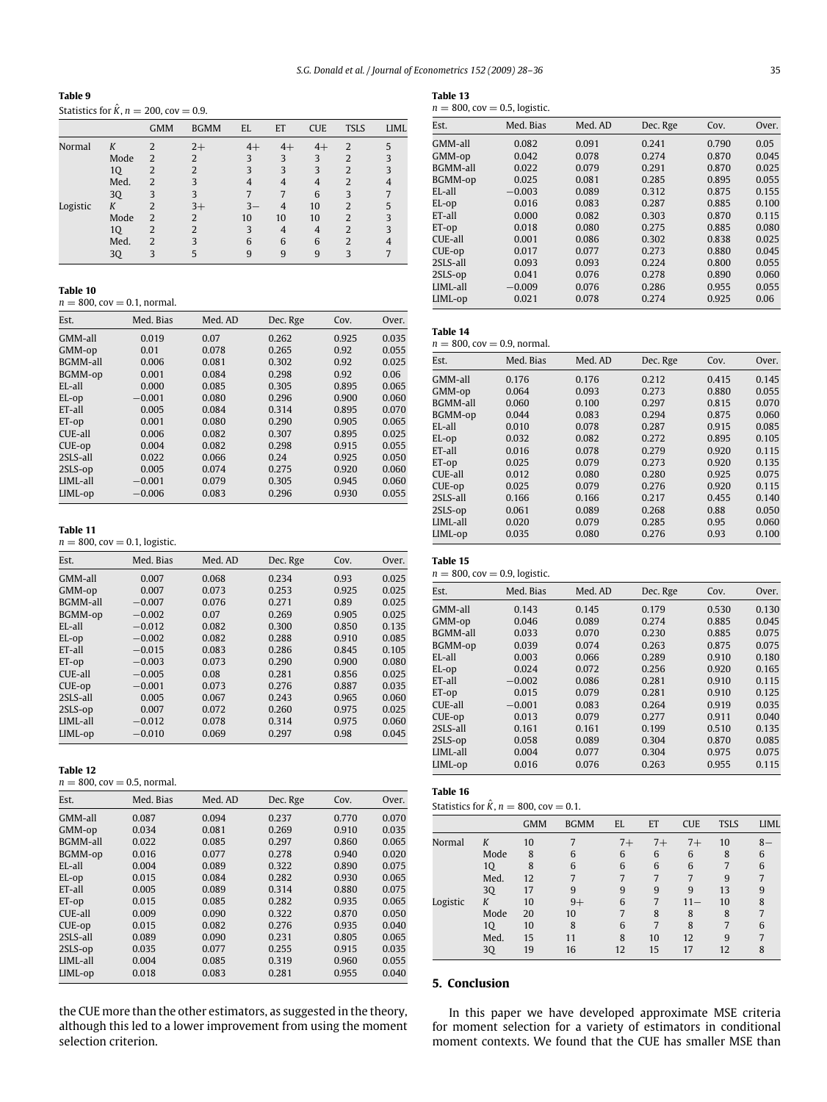**Table 9** Statistics for  $\hat{K}$ ,  $n = 200$ , cov = 0.9.

|          |      | <b>GMM</b>     | <b>BGMM</b>              | EL    | ET             | <b>CUE</b> | <b>TSLS</b>    | LIML |
|----------|------|----------------|--------------------------|-------|----------------|------------|----------------|------|
| Normal   | K    | $\overline{2}$ | $2+$                     | $4+$  | $4+$           | $4+$       | 2              | 5    |
|          | Mode | $\overline{2}$ | $\overline{2}$           | 3     | 3              | 3          | $\overline{2}$ |      |
|          | 1Q   | 2              | $\overline{\mathcal{L}}$ | 3     | 3              | 3          | $\overline{2}$ |      |
|          | Med. | $\overline{2}$ | 3                        |       | 4              | 4          | $\overline{2}$ |      |
|          | 3Q   | 3              | 3                        |       | 7              | 6          | 3              |      |
| Logistic | K    | $\overline{2}$ | $3+$                     | $3 -$ | 4              | 10         | $\overline{2}$ |      |
|          | Mode | $\overline{2}$ | 2                        | 10    | 10             | 10         | $\overline{2}$ |      |
|          | 1Q   | 2              | $\mathfrak{D}$           | 3     | $\overline{4}$ | 4          | $\overline{2}$ |      |
|          | Med. | $\overline{2}$ | κ                        | 6     | 6              | 6          | $\overline{2}$ |      |
|          | 3Q   | 3              |                          | 9     | 9              | 9          | 3              |      |
|          |      |                |                          |       |                |            |                |      |

**Table 10**

 $n = 800$ , cov = 0.1, normal.

| Est.            | Med. Bias | Med. AD | Dec. Rge | Cov.  | Over. |
|-----------------|-----------|---------|----------|-------|-------|
| GMM-all         | 0.019     | 0.07    | 0.262    | 0.925 | 0.035 |
| GMM-op          | 0.01      | 0.078   | 0.265    | 0.92  | 0.055 |
| <b>BGMM-all</b> | 0.006     | 0.081   | 0.302    | 0.92  | 0.025 |
| BGMM-op         | 0.001     | 0.084   | 0.298    | 0.92  | 0.06  |
| EL-all          | 0.000     | 0.085   | 0.305    | 0.895 | 0.065 |
| EL-op           | $-0.001$  | 0.080   | 0.296    | 0.900 | 0.060 |
| ET-all          | 0.005     | 0.084   | 0.314    | 0.895 | 0.070 |
| ET-op           | 0.001     | 0.080   | 0.290    | 0.905 | 0.065 |
| CUE-all         | 0.006     | 0.082   | 0.307    | 0.895 | 0.025 |
| CUE-op          | 0.004     | 0.082   | 0.298    | 0.915 | 0.055 |
| 2SLS-all        | 0.022     | 0.066   | 0.24     | 0.925 | 0.050 |
| 2SLS-op         | 0.005     | 0.074   | 0.275    | 0.920 | 0.060 |
| LIML-all        | $-0.001$  | 0.079   | 0.305    | 0.945 | 0.060 |
| LIML-op         | $-0.006$  | 0.083   | 0.296    | 0.930 | 0.055 |

#### **Table 11**

 $n = 800$ ,  $cov = 0.1$ , logistic.

| Est.            | Med. Bias | Med. AD | Dec. Rge | Cov.  | Over. |
|-----------------|-----------|---------|----------|-------|-------|
| GMM-all         | 0.007     | 0.068   | 0.234    | 0.93  | 0.025 |
| GMM-op          | 0.007     | 0.073   | 0.253    | 0.925 | 0.025 |
| <b>BGMM-all</b> | $-0.007$  | 0.076   | 0.271    | 0.89  | 0.025 |
| BGMM-op         | $-0.002$  | 0.07    | 0.269    | 0.905 | 0.025 |
| $E$ I $-a$ ll   | $-0.012$  | 0.082   | 0.300    | 0.850 | 0.135 |
| EL-op           | $-0.002$  | 0.082   | 0.288    | 0.910 | 0.085 |
| ET-all          | $-0.015$  | 0.083   | 0.286    | 0.845 | 0.105 |
| ET-op           | $-0.003$  | 0.073   | 0.290    | 0.900 | 0.080 |
| CUE-all         | $-0.005$  | 0.08    | 0.281    | 0.856 | 0.025 |
| CUE-op          | $-0.001$  | 0.073   | 0.276    | 0.887 | 0.035 |
| 2SLS-all        | 0.005     | 0.067   | 0.243    | 0.965 | 0.060 |
| 2SLS-op         | 0.007     | 0.072   | 0.260    | 0.975 | 0.025 |
| LIML-all        | $-0.012$  | 0.078   | 0.314    | 0.975 | 0.060 |
| LIML-op         | $-0.010$  | 0.069   | 0.297    | 0.98  | 0.045 |

**Table 12**

| $n = 800$ , cov = 0.5, normal. |  |
|--------------------------------|--|
|--------------------------------|--|

| Est.            | Med. Bias | Med. AD | Dec. Rge | Cov.  | Over. |
|-----------------|-----------|---------|----------|-------|-------|
| GMM-all         | 0.087     | 0.094   | 0.237    | 0.770 | 0.070 |
| GMM-op          | 0.034     | 0.081   | 0.269    | 0.910 | 0.035 |
| <b>BGMM-all</b> | 0.022     | 0.085   | 0.297    | 0.860 | 0.065 |
| BGMM-op         | 0.016     | 0.077   | 0.278    | 0.940 | 0.020 |
| EL-all          | 0.004     | 0.089   | 0.322    | 0.890 | 0.075 |
| EL-op           | 0.015     | 0.084   | 0.282    | 0.930 | 0.065 |
| ET-all          | 0.005     | 0.089   | 0.314    | 0.880 | 0.075 |
| ET-op           | 0.015     | 0.085   | 0.282    | 0.935 | 0.065 |
| CUE-all         | 0.009     | 0.090   | 0.322    | 0.870 | 0.050 |
| CUE-op          | 0.015     | 0.082   | 0.276    | 0.935 | 0.040 |
| 2SLS-all        | 0.089     | 0.090   | 0.231    | 0.805 | 0.065 |
| 2SLS-op         | 0.035     | 0.077   | 0.255    | 0.915 | 0.035 |
| LIML-all        | 0.004     | 0.085   | 0.319    | 0.960 | 0.055 |
| LIML-op         | 0.018     | 0.083   | 0.281    | 0.955 | 0.040 |

the CUE more than the other estimators, as suggested in the theory, although this led to a lower improvement from using the moment selection criterion.

| $\sim$<br>$\sim$<br>×<br>. . | $\sim$ |
|------------------------------|--------|
|                              |        |

| Table 13 |                                  |  |
|----------|----------------------------------|--|
|          | $n = 800$ , cov = 0.5, logistic. |  |

| Est.            | Med. Bias | Med. AD | Dec. Rge | Cov.  | Over. |
|-----------------|-----------|---------|----------|-------|-------|
| GMM-all         | 0.082     | 0.091   | 0.241    | 0.790 | 0.05  |
| GMM-op          | 0.042     | 0.078   | 0.274    | 0.870 | 0.045 |
| <b>BGMM-all</b> | 0.022     | 0.079   | 0.291    | 0.870 | 0.025 |
| BGMM-op         | 0.025     | 0.081   | 0.285    | 0.895 | 0.055 |
| EL-all          | $-0.003$  | 0.089   | 0.312    | 0.875 | 0.155 |
| EL-op           | 0.016     | 0.083   | 0.287    | 0.885 | 0.100 |
| ET-all          | 0.000     | 0.082   | 0.303    | 0.870 | 0.115 |
| ET-op           | 0.018     | 0.080   | 0.275    | 0.885 | 0.080 |
| CUE-all         | 0.001     | 0.086   | 0.302    | 0.838 | 0.025 |
| CUE-op          | 0.017     | 0.077   | 0.273    | 0.880 | 0.045 |
| 2SLS-all        | 0.093     | 0.093   | 0.224    | 0.800 | 0.055 |
| 2SLS-op         | 0.041     | 0.076   | 0.278    | 0.890 | 0.060 |
| LIML-all        | $-0.009$  | 0.076   | 0.286    | 0.955 | 0.055 |
| LIML-op         | 0.021     | 0.078   | 0.274    | 0.925 | 0.06  |

```
Table 14
```

|                 | $n = 800$ , cov = 0.9, normal. |         |          |       |       |  |  |  |
|-----------------|--------------------------------|---------|----------|-------|-------|--|--|--|
| Est.            | Med. Bias                      | Med. AD | Dec. Rge | Cov.  | Over. |  |  |  |
| GMM-all         | 0.176                          | 0.176   | 0.212    | 0.415 | 0.145 |  |  |  |
| GMM-op          | 0.064                          | 0.093   | 0.273    | 0.880 | 0.055 |  |  |  |
| <b>BGMM-all</b> | 0.060                          | 0.100   | 0.297    | 0.815 | 0.070 |  |  |  |
| BGMM-op         | 0.044                          | 0.083   | 0.294    | 0.875 | 0.060 |  |  |  |
| $E$ L-all       | 0.010                          | 0.078   | 0.287    | 0.915 | 0.085 |  |  |  |
| EL-op           | 0.032                          | 0.082   | 0.272    | 0.895 | 0.105 |  |  |  |
| ET-all          | 0.016                          | 0.078   | 0.279    | 0.920 | 0.115 |  |  |  |
| ET-op           | 0.025                          | 0.079   | 0.273    | 0.920 | 0.135 |  |  |  |
| CUE-all         | 0.012                          | 0.080   | 0.280    | 0.925 | 0.075 |  |  |  |
| CUE-op          | 0.025                          | 0.079   | 0.276    | 0.920 | 0.115 |  |  |  |
| 2SLS-all        | 0.166                          | 0.166   | 0.217    | 0.455 | 0.140 |  |  |  |
| 2SLS-op         | 0.061                          | 0.089   | 0.268    | 0.88  | 0.050 |  |  |  |
| LIML-all        | 0.020                          | 0.079   | 0.285    | 0.95  | 0.060 |  |  |  |
| LIML-op         | 0.035                          | 0.080   | 0.276    | 0.93  | 0.100 |  |  |  |
|                 |                                |         |          |       |       |  |  |  |

| Table 15 |     |        |
|----------|-----|--------|
|          | ∘o∩ | $\sim$ |

| 140IC 1.J       | $n = 800$ , cov = 0.9, logistic. |         |          |       |       |  |  |  |  |
|-----------------|----------------------------------|---------|----------|-------|-------|--|--|--|--|
| Est.            | Med. Bias                        | Med. AD | Dec. Rge | Cov.  | Over. |  |  |  |  |
| GMM-all         | 0.143                            | 0.145   | 0.179    | 0.530 | 0.130 |  |  |  |  |
| GMM-op          | 0.046                            | 0.089   | 0.274    | 0.885 | 0.045 |  |  |  |  |
| <b>BGMM-all</b> | 0.033                            | 0.070   | 0.230    | 0.885 | 0.075 |  |  |  |  |
| BGMM-op         | 0.039                            | 0.074   | 0.263    | 0.875 | 0.075 |  |  |  |  |
| EL-all          | 0.003                            | 0.066   | 0.289    | 0.910 | 0.180 |  |  |  |  |
| EL-op           | 0.024                            | 0.072   | 0.256    | 0.920 | 0.165 |  |  |  |  |
| ET-all          | $-0.002$                         | 0.086   | 0.281    | 0.910 | 0.115 |  |  |  |  |
| ET-op           | 0.015                            | 0.079   | 0.281    | 0.910 | 0.125 |  |  |  |  |
| CUE-all         | $-0.001$                         | 0.083   | 0.264    | 0.919 | 0.035 |  |  |  |  |
| CUE-op          | 0.013                            | 0.079   | 0.277    | 0.911 | 0.040 |  |  |  |  |
| 2SLS-all        | 0.161                            | 0.161   | 0.199    | 0.510 | 0.135 |  |  |  |  |
| 2SLS-op         | 0.058                            | 0.089   | 0.304    | 0.870 | 0.085 |  |  |  |  |
| LIML-all        | 0.004                            | 0.077   | 0.304    | 0.975 | 0.075 |  |  |  |  |
| LIML-op         | 0.016                            | 0.076   | 0.263    | 0.955 | 0.115 |  |  |  |  |
|                 |                                  |         |          |       |       |  |  |  |  |

# **Table 16**

|  |  | Statistics for K, $n = 800$ , cov = 0.1. |
|--|--|------------------------------------------|

|          |      | <b>GMM</b> | <b>BGMM</b> | EL   | ET   | <b>CUE</b> | <b>TSLS</b> | LIML |
|----------|------|------------|-------------|------|------|------------|-------------|------|
| Normal   | Κ    | 10         |             | $7+$ | $7+$ | $7+$       | 10          | $8-$ |
|          | Mode | 8          | 6           | 6    | 6    | 6          | 8           | 6    |
|          | 1Q   | 8          | 6           | 6    | 6    | 6          |             | 6    |
|          | Med. | 12         |             |      |      | 7          | 9           |      |
|          | 3Q   | 17         | 9           | 9    | 9    | 9          | 13          | 9    |
| Logistic | K    | 10         | $9+$        | 6    | 7    | $11 -$     | 10          | 8    |
|          | Mode | 20         | 10          |      | 8    | 8          | 8           |      |
|          | 1Q   | 10         | 8           | 6    | 7    | 8          | 7           | 6    |
|          | Med. | 15         | 11          | 8    | 10   | 12         | 9           | 7    |
|          | 30   | 19         | 16          | 12   | 15   | 17         | 12          | 8    |

# **5. Conclusion**

In this paper we have developed approximate MSE criteria for moment selection for a variety of estimators in conditional moment contexts. We found that the CUE has smaller MSE than